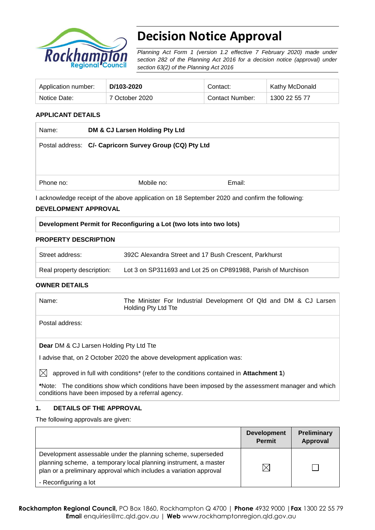

# **Decision Notice Approval**

*Planning Act Form 1 (version 1.2 effective 7 February 2020) made under section 282 of the Planning Act 2016 for a decision notice (approval) under section 63(2) of the Planning Act 2016*

| Application number: | D/103-2020     | Contact:        | Kathy McDonald |
|---------------------|----------------|-----------------|----------------|
| Notice Date:        | 7 October 2020 | Contact Number: | 1300 22 55 77  |

## **APPLICANT DETAILS**

| Name:     | DM & CJ Larsen Holding Pty Ltd                                                                 |        |  |
|-----------|------------------------------------------------------------------------------------------------|--------|--|
|           | Postal address: C/- Capricorn Survey Group (CQ) Pty Ltd                                        |        |  |
|           |                                                                                                |        |  |
|           |                                                                                                |        |  |
| Phone no: | Mobile no:                                                                                     | Email: |  |
|           | I acknowledge receipt of the above application on 18 September 2020 and confirm the following: |        |  |

### **DEVELOPMENT APPROVAL**

## **Development Permit for Reconfiguring a Lot (two lots into two lots)**

### **PROPERTY DESCRIPTION**

| Street address:            | 392C Alexandra Street and 17 Bush Crescent, Parkhurst         |
|----------------------------|---------------------------------------------------------------|
| Real property description: | Lot 3 on SP311693 and Lot 25 on CP891988, Parish of Murchison |

### **OWNER DETAILS**

| Name: | The Minister For Industrial Development Of Qld and DM & CJ Larsen |  |  |
|-------|-------------------------------------------------------------------|--|--|
|       | Holding Pty Ltd Tte                                               |  |  |

Postal address:

**Dear** DM & CJ Larsen Holding Pty Ltd Tte

I advise that, on 2 October 2020 the above development application was:

 $\boxtimes$  approved in full with conditions<sup>\*</sup> (refer to the conditions contained in **Attachment 1**)

**\***Note:The conditions show which conditions have been imposed by the assessment manager and which conditions have been imposed by a referral agency.

### **1. DETAILS OF THE APPROVAL**

The following approvals are given:

|                                                                                                                                                                                                        | <b>Development</b><br><b>Permit</b> | <b>Preliminary</b><br>Approval |
|--------------------------------------------------------------------------------------------------------------------------------------------------------------------------------------------------------|-------------------------------------|--------------------------------|
| Development assessable under the planning scheme, superseded<br>planning scheme, a temporary local planning instrument, a master<br>plan or a preliminary approval which includes a variation approval | $\times$                            |                                |
| - Reconfiguring a lot                                                                                                                                                                                  |                                     |                                |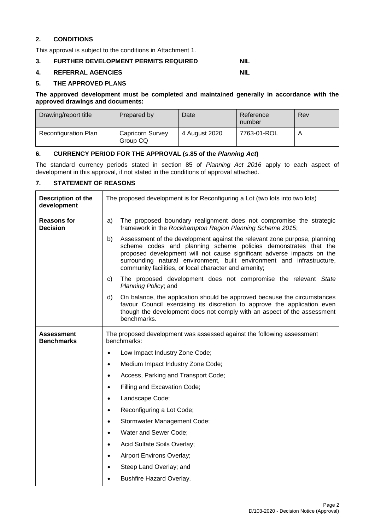# **2. CONDITIONS**

This approval is subject to the conditions in Attachment 1.

## **3. FURTHER DEVELOPMENT PERMITS REQUIRED NIL**

#### **4. REFERRAL AGENCIES NIL**

### **5. THE APPROVED PLANS**

#### **The approved development must be completed and maintained generally in accordance with the approved drawings and documents:**

| Drawing/report title | Prepared by                  | Date          | Reference<br>number | Rev |
|----------------------|------------------------------|---------------|---------------------|-----|
| Reconfiguration Plan | Capricorn Survey<br>Group CQ | 4 August 2020 | 7763-01-ROL         |     |

### **6. CURRENCY PERIOD FOR THE APPROVAL (s.85 of the** *Planning Act***)**

The standard currency periods stated in section 85 of *Planning Act 2016* apply to each aspect of development in this approval, if not stated in the conditions of approval attached.

# **7. STATEMENT OF REASONS**

| Description of the<br>development     | The proposed development is for Reconfiguring a Lot (two lots into two lots)                                                                                                                                                                                                                                                                                    |  |  |
|---------------------------------------|-----------------------------------------------------------------------------------------------------------------------------------------------------------------------------------------------------------------------------------------------------------------------------------------------------------------------------------------------------------------|--|--|
| <b>Reasons for</b><br><b>Decision</b> | a)<br>The proposed boundary realignment does not compromise the strategic<br>framework in the Rockhampton Region Planning Scheme 2015;                                                                                                                                                                                                                          |  |  |
|                                       | Assessment of the development against the relevant zone purpose, planning<br>b)<br>scheme codes and planning scheme policies demonstrates that the<br>proposed development will not cause significant adverse impacts on the<br>surrounding natural environment, built environment and infrastructure,<br>community facilities, or local character and amenity; |  |  |
|                                       | c)<br>The proposed development does not compromise the relevant State<br>Planning Policy; and                                                                                                                                                                                                                                                                   |  |  |
|                                       | d)<br>On balance, the application should be approved because the circumstances<br>favour Council exercising its discretion to approve the application even<br>though the development does not comply with an aspect of the assessment<br>benchmarks.                                                                                                            |  |  |
| Assessment<br><b>Benchmarks</b>       | The proposed development was assessed against the following assessment<br>benchmarks:                                                                                                                                                                                                                                                                           |  |  |
|                                       | Low Impact Industry Zone Code;<br>$\bullet$                                                                                                                                                                                                                                                                                                                     |  |  |
|                                       | Medium Impact Industry Zone Code;<br>$\bullet$                                                                                                                                                                                                                                                                                                                  |  |  |
|                                       | Access, Parking and Transport Code;<br>$\bullet$                                                                                                                                                                                                                                                                                                                |  |  |
|                                       | Filling and Excavation Code;<br>$\bullet$                                                                                                                                                                                                                                                                                                                       |  |  |
|                                       | Landscape Code;<br>$\bullet$                                                                                                                                                                                                                                                                                                                                    |  |  |
|                                       | Reconfiguring a Lot Code;<br>$\bullet$                                                                                                                                                                                                                                                                                                                          |  |  |
|                                       | Stormwater Management Code;<br>$\bullet$                                                                                                                                                                                                                                                                                                                        |  |  |
|                                       | Water and Sewer Code;<br>$\bullet$                                                                                                                                                                                                                                                                                                                              |  |  |
|                                       | Acid Sulfate Soils Overlay;<br>$\bullet$                                                                                                                                                                                                                                                                                                                        |  |  |
|                                       | Airport Environs Overlay;<br>$\bullet$                                                                                                                                                                                                                                                                                                                          |  |  |
|                                       | Steep Land Overlay; and<br>$\bullet$                                                                                                                                                                                                                                                                                                                            |  |  |
|                                       | Bushfire Hazard Overlay.<br>$\bullet$                                                                                                                                                                                                                                                                                                                           |  |  |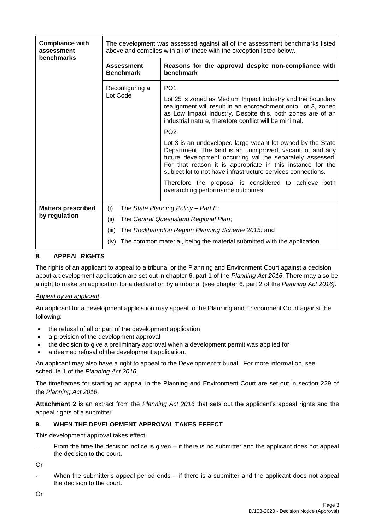| <b>Compliance with</b><br>assessment | The development was assessed against all of the assessment benchmarks listed<br>above and complies with all of these with the exception listed below. |                                                                                                                                                                                                                                                                                                                     |  |
|--------------------------------------|-------------------------------------------------------------------------------------------------------------------------------------------------------|---------------------------------------------------------------------------------------------------------------------------------------------------------------------------------------------------------------------------------------------------------------------------------------------------------------------|--|
| benchmarks                           |                                                                                                                                                       |                                                                                                                                                                                                                                                                                                                     |  |
|                                      | <b>Assessment</b><br><b>Benchmark</b>                                                                                                                 | Reasons for the approval despite non-compliance with<br>benchmark                                                                                                                                                                                                                                                   |  |
|                                      | Reconfiguring a                                                                                                                                       | PO <sub>1</sub>                                                                                                                                                                                                                                                                                                     |  |
|                                      | Lot Code                                                                                                                                              | Lot 25 is zoned as Medium Impact Industry and the boundary<br>realignment will result in an encroachment onto Lot 3, zoned<br>as Low Impact Industry. Despite this, both zones are of an<br>industrial nature, therefore conflict will be minimal.                                                                  |  |
|                                      |                                                                                                                                                       | PO <sub>2</sub>                                                                                                                                                                                                                                                                                                     |  |
|                                      |                                                                                                                                                       | Lot 3 is an undeveloped large vacant lot owned by the State<br>Department. The land is an unimproved, vacant lot and any<br>future development occurring will be separately assessed.<br>For that reason it is appropriate in this instance for the<br>subject lot to not have infrastructure services connections. |  |
|                                      |                                                                                                                                                       | Therefore the proposal is considered to achieve both<br>overarching performance outcomes.                                                                                                                                                                                                                           |  |
| <b>Matters prescribed</b>            | (i)                                                                                                                                                   | The State Planning Policy - Part $E_i$                                                                                                                                                                                                                                                                              |  |
| by regulation                        | (ii)                                                                                                                                                  | The Central Queensland Regional Plan;                                                                                                                                                                                                                                                                               |  |
|                                      | (iii)<br>The Rockhampton Region Planning Scheme 2015; and<br>The common material, being the material submitted with the application.<br>(iv)          |                                                                                                                                                                                                                                                                                                                     |  |
|                                      |                                                                                                                                                       |                                                                                                                                                                                                                                                                                                                     |  |

# **8. APPEAL RIGHTS**

The rights of an applicant to appeal to a tribunal or the Planning and Environment Court against a decision about a development application are set out in chapter 6, part 1 of the *Planning Act 2016*. There may also be a right to make an application for a declaration by a tribunal (see chapter 6, part 2 of the *Planning Act 2016).*

# *Appeal by an applicant*

An applicant for a development application may appeal to the Planning and Environment Court against the following:

- the refusal of all or part of the development application
- a provision of the development approval
- the decision to give a preliminary approval when a development permit was applied for
- a deemed refusal of the development application.

An applicant may also have a right to appeal to the Development tribunal. For more information, see schedule 1 of the *Planning Act 2016*.

The timeframes for starting an appeal in the Planning and Environment Court are set out in section 229 of the *Planning Act 2016*.

**Attachment 2** is an extract from the *Planning Act 2016* that sets out the applicant's appeal rights and the appeal rights of a submitter.

## **9. WHEN THE DEVELOPMENT APPROVAL TAKES EFFECT**

This development approval takes effect:

From the time the decision notice is given  $-$  if there is no submitter and the applicant does not appeal the decision to the court.

Or

When the submitter's appeal period ends  $-$  if there is a submitter and the applicant does not appeal the decision to the court.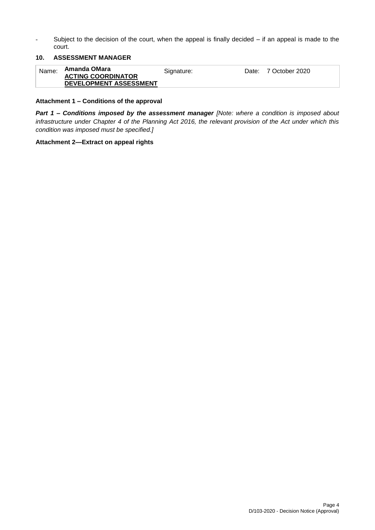- Subject to the decision of the court, when the appeal is finally decided – if an appeal is made to the court.

## **10. ASSESSMENT MANAGER**

| Amanda OMara<br>Name:<br>Date: 7 October 2020<br>Signature:<br><b>ACTING COORDINATOR</b><br>DEVELOPMENT ASSESSMENT |  |
|--------------------------------------------------------------------------------------------------------------------|--|
|--------------------------------------------------------------------------------------------------------------------|--|

#### **Attachment 1 – Conditions of the approval**

*Part 1* **–** *Conditions imposed by the assessment manager [Note: where a condition is imposed about infrastructure under Chapter 4 of the Planning Act 2016, the relevant provision of the Act under which this condition was imposed must be specified.]*

#### **Attachment 2—Extract on appeal rights**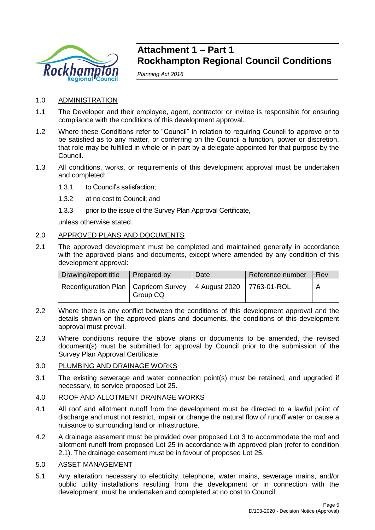

# **Attachment 1 – Part 1 Rockhampton Regional Council Conditions**

*Planning Act 2016*

- 1.0 ADMINISTRATION
- 1.1 The Developer and their employee, agent, contractor or invitee is responsible for ensuring compliance with the conditions of this development approval.
- 1.2 Where these Conditions refer to "Council" in relation to requiring Council to approve or to be satisfied as to any matter, or conferring on the Council a function, power or discretion, that role may be fulfilled in whole or in part by a delegate appointed for that purpose by the Council.
- 1.3 All conditions, works, or requirements of this development approval must be undertaken and completed:
	- 1.3.1 to Council's satisfaction;
	- 1.3.2 at no cost to Council; and
	- 1.3.3 prior to the issue of the Survey Plan Approval Certificate,

unless otherwise stated.

# 2.0 APPROVED PLANS AND DOCUMENTS

2.1 The approved development must be completed and maintained generally in accordance with the approved plans and documents, except where amended by any condition of this development approval:

| Drawing/report title                    | Prepared by | Date                      | Reference number | Rev |
|-----------------------------------------|-------------|---------------------------|------------------|-----|
| Reconfiguration Plan   Capricorn Survey | Group CQ    | 4 August 2020 7763-01-ROL |                  |     |

- 2.2 Where there is any conflict between the conditions of this development approval and the details shown on the approved plans and documents, the conditions of this development approval must prevail.
- 2.3 Where conditions require the above plans or documents to be amended, the revised document(s) must be submitted for approval by Council prior to the submission of the Survey Plan Approval Certificate.

### 3.0 PLUMBING AND DRAINAGE WORKS

3.1 The existing sewerage and water connection point(s) must be retained, and upgraded if necessary, to service proposed Lot 25.

# 4.0 ROOF AND ALLOTMENT DRAINAGE WORKS

- 4.1 All roof and allotment runoff from the development must be directed to a lawful point of discharge and must not restrict, impair or change the natural flow of runoff water or cause a nuisance to surrounding land or infrastructure.
- 4.2 A drainage easement must be provided over proposed Lot 3 to accommodate the roof and allotment runoff from proposed Lot 25 in accordance with approved plan (refer to condition 2.1). The drainage easement must be in favour of proposed Lot 25.

### 5.0 ASSET MANAGEMENT

5.1 Any alteration necessary to electricity, telephone, water mains, sewerage mains, and/or public utility installations resulting from the development or in connection with the development, must be undertaken and completed at no cost to Council.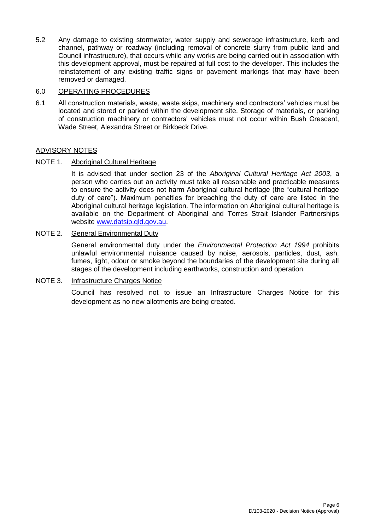5.2 Any damage to existing stormwater, water supply and sewerage infrastructure, kerb and channel, pathway or roadway (including removal of concrete slurry from public land and Council infrastructure), that occurs while any works are being carried out in association with this development approval, must be repaired at full cost to the developer. This includes the reinstatement of any existing traffic signs or pavement markings that may have been removed or damaged.

# 6.0 OPERATING PROCEDURES

6.1 All construction materials, waste, waste skips, machinery and contractors' vehicles must be located and stored or parked within the development site. Storage of materials, or parking of construction machinery or contractors' vehicles must not occur within Bush Crescent, Wade Street, Alexandra Street or Birkbeck Drive.

# ADVISORY NOTES

# NOTE 1. Aboriginal Cultural Heritage

It is advised that under section 23 of the *Aboriginal Cultural Heritage Act 2003*, a person who carries out an activity must take all reasonable and practicable measures to ensure the activity does not harm Aboriginal cultural heritage (the "cultural heritage duty of care"). Maximum penalties for breaching the duty of care are listed in the Aboriginal cultural heritage legislation. The information on Aboriginal cultural heritage is available on the Department of Aboriginal and Torres Strait Islander Partnerships website [www.datsip.qld.gov.au.](http://www.datsip.qld.gov.au/)

# NOTE 2. General Environmental Duty

General environmental duty under the *Environmental Protection Act 1994* prohibits unlawful environmental nuisance caused by noise, aerosols, particles, dust, ash, fumes, light, odour or smoke beyond the boundaries of the development site during all stages of the development including earthworks, construction and operation.

# NOTE 3. Infrastructure Charges Notice

Council has resolved not to issue an Infrastructure Charges Notice for this development as no new allotments are being created.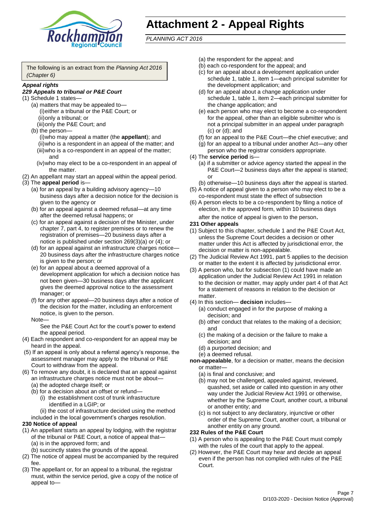

# **Attachment 2 - Appeal Rights**

*PLANNING ACT 2016*

The following is an extract from the *Planning Act 2016 (Chapter 6)*

#### *Appeal rights*

### *229 Appeals to tribunal or P&E Court*

- (1) Schedule 1 states—
	- (a) matters that may be appealed to— (i)either a tribunal or the P&E Court; or (ii)only a tribunal; or
	- (iii)only the P&E Court; and (b) the person—
		- (i)who may appeal a matter (the **appellant**); and (ii)who is a respondent in an appeal of the matter; and (iii)who is a co-respondent in an appeal of the matter; and
		- (iv)who may elect to be a co-respondent in an appeal of the matter.
- (2) An appellant may start an appeal within the appeal period.
- (3) The **appeal period** is—
	- (a) for an appeal by a building advisory agency—10 business days after a decision notice for the decision is given to the agency or
	- (b) for an appeal against a deemed refusal—at any time after the deemed refusal happens; or
	- (c) for an appeal against a decision of the Minister, under chapter 7, part 4, to register premises or to renew the registration of premises—20 business days after a notice is published under section 269(3)(a) or (4); or
	- (d) for an appeal against an infrastructure charges notice— 20 business days after the infrastructure charges notice is given to the person; or
	- (e) for an appeal about a deemed approval of a development application for which a decision notice has not been given—30 business days after the applicant gives the deemed approval notice to the assessment manager; or
	- (f) for any other appeal—20 business days after a notice of the decision for the matter, including an enforcement notice, is given to the person.

#### Note—

See the P&E Court Act for the court's power to extend the appeal period.

- (4) Each respondent and co-respondent for an appeal may be heard in the appeal.
- (5) If an appeal is only about a referral agency's response, the assessment manager may apply to the tribunal or P&E Court to withdraw from the appeal.
- (6) To remove any doubt, it is declared that an appeal against an infrastructure charges notice must not be about—
	- (a) the adopted charge itself; or
	- (b) for a decision about an offset or refund—
		- (i) the establishment cost of trunk infrastructure identified in a LGIP; or
	- (ii) the cost of infrastructure decided using the method included in the local government's charges resolution.

# **230 Notice of appeal**

- (1) An appellant starts an appeal by lodging, with the registrar of the tribunal or P&E Court, a notice of appeal that—
	- (a) is in the approved form; and
	- (b) succinctly states the grounds of the appeal.
- (2) The notice of appeal must be accompanied by the required fee.
- (3) The appellant or, for an appeal to a tribunal, the registrar must, within the service period, give a copy of the notice of appeal to—
- (a) the respondent for the appeal; and
- (b) each co-respondent for the appeal; and
- (c) for an appeal about a development application under schedule 1, table 1, item 1—each principal submitter for the development application; and
- (d) for an appeal about a change application under schedule 1, table 1, item 2—each principal submitter for the change application; and
- (e) each person who may elect to become a co-respondent for the appeal, other than an eligible submitter who is not a principal submitter in an appeal under paragraph (c) or (d); and
- (f) for an appeal to the P&E Court—the chief executive; and
- (g) for an appeal to a tribunal under another Act—any other person who the registrar considers appropriate.
- (4) The **service period** is—
	- (a) if a submitter or advice agency started the appeal in the P&E Court—2 business days after the appeal is started; or
	- (b) otherwise—10 business days after the appeal is started.
- (5) A notice of appeal given to a person who may elect to be a co-respondent must state the effect of subsection
- (6) A person elects to be a co-respondent by filing a notice of election, in the approved form, within 10 business days after the notice of appeal is given to the person*.*
- **231 Other appeals**
- (1) Subject to this chapter, schedule 1 and the P&E Court Act, unless the Supreme Court decides a decision or other matter under this Act is affected by jurisdictional error, the decision or matter is non-appealable.
- (2) The Judicial Review Act 1991, part 5 applies to the decision or matter to the extent it is affected by jurisdictional error.
- (3) A person who, but for subsection (1) could have made an application under the Judicial Review Act 1991 in relation to the decision or matter, may apply under part 4 of that Act for a statement of reasons in relation to the decision or matter.
- (4) In this section— **decision** includes—
	- (a) conduct engaged in for the purpose of making a decision; and
	- (b) other conduct that relates to the making of a decision; and
	- (c) the making of a decision or the failure to make a decision; and
	- (d) a purported decision; and
	- (e) a deemed refusal.

**non-appealable**, for a decision or matter, means the decision or matter—

- (a) is final and conclusive; and
- (b) may not be challenged, appealed against, reviewed, quashed, set aside or called into question in any other way under the Judicial Review Act 1991 or otherwise, whether by the Supreme Court, another court, a tribunal or another entity; and
- (c) is not subject to any declaratory, injunctive or other order of the Supreme Court, another court, a tribunal or another entity on any ground.

#### **232 Rules of the P&E Court**

- (1) A person who is appealing to the P&E Court must comply with the rules of the court that apply to the appeal.
- (2) However, the P&E Court may hear and decide an appeal even if the person has not complied with rules of the P&E Court.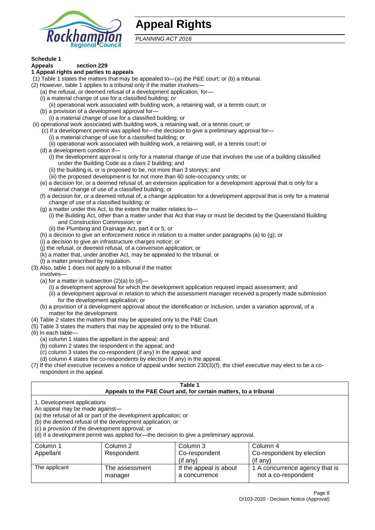

# **Appeal Rights**

*PLANNING ACT 2016*

# **Schedule 1**

#### **Appeals section 229 1 Appeal rights and parties to appeals**

- (1) Table 1 states the matters that may be appealed to—(a) the P&E court; or (b) a tribunal.
- (2) However, table 1 applies to a tribunal only if the matter involves—
	- (a) the refusal, or deemed refusal of a development application, for—
	- (i) a material change of use for a classified building; or
	- (ii) operational work associated with building work, a retaining wall, or a tennis court; or
	- (b) a provision of a development approval for—
	- (i) a material change of use for a classified building; or
- (ii) operational work associated with building work, a retaining wall, or a tennis court; or
	- (c) if a development permit was applied for—the decision to give a preliminary approval for—
		- (i) a material change of use for a classified building; or
	- (ii) operational work associated with building work, a retaining wall, or a tennis court; or
	- (d) a development condition if—
		- (i) the development approval is only for a material change of use that involves the use of a building classified under the Building Code as a class 2 building; and
		- (ii) the building is, or is proposed to be, not more than 3 storeys; and
		- (iii) the proposed development is for not more than 60 sole-occupancy units; or
	- (e) a decision for, or a deemed refusal of, an extension application for a development approval that is only for a material change of use of a classified building; or
	- (f) a decision for, or a deemed refusal of, a change application for a development approval that is only for a material change of use of a classified building; or
	- (g) a matter under this Act, to the extent the matter relates to—
		- (i) the Building Act, other than a matter under that Act that may or must be decided by the Queensland Building and Construction Commission; or
		- (ii) the Plumbing and Drainage Act, part 4 or 5; or
	- (h) a decision to give an enforcement notice in relation to a matter under paragraphs (a) to (g); or
	- (i) a decision to give an infrastructure charges notice; or
	- (j) the refusal, or deemed refusal, of a conversion application; or
	- (k) a matter that, under another Act, may be appealed to the tribunal; or
	- (l) a matter prescribed by regulation.
- (3) Also, table 1 does not apply to a tribunal if the matter

involves—

- (a) for a matter in subsection  $(2)(a)$  to  $(d)$ 
	- (i) a development approval for which the development application required impact assessment; and
	- (ii) a development approval in relation to which the assessment manager received a properly made submission for the development application; or
- (b) a provision of a development approval about the identification or inclusion, under a variation approval, of a matter for the development.
- (4) Table 2 states the matters that may be appealed only to the P&E Court.
- (5) Table 3 states the matters that may be appealed only to the tribunal.
- (6) In each table—
	- (a) column 1 states the appellant in the appeal; and
	- (b) column 2 states the respondent in the appeal; and
	- (c) column 3 states the co-respondent (if any) in the appeal; and
	- (d) column 4 states the co-respondents by election (if any) in the appeal.
- (7) If the chief executive receives a notice of appeal under section 230(3)(f), the chief executive may elect to be a corespondent in the appeal.

| Table 1<br>Appeals to the P&E Court and, for certain matters, to a tribunal                                                                                                                                                                                                                                                                    |                           |                                         |                                                       |  |
|------------------------------------------------------------------------------------------------------------------------------------------------------------------------------------------------------------------------------------------------------------------------------------------------------------------------------------------------|---------------------------|-----------------------------------------|-------------------------------------------------------|--|
| 1. Development applications<br>An appeal may be made against-<br>(a) the refusal of all or part of the development application; or<br>(b) the deemed refusal of the development application; or<br>(c) a provision of the development approval; or<br>(d) if a development permit was applied for-the decision to give a preliminary approval. |                           |                                         |                                                       |  |
| Column 1                                                                                                                                                                                                                                                                                                                                       | Column 2                  | Column 3                                | Column 4                                              |  |
| Appellant                                                                                                                                                                                                                                                                                                                                      | Respondent                | Co-respondent                           | Co-respondent by election                             |  |
|                                                                                                                                                                                                                                                                                                                                                |                           | $($ if any $)$                          | $(i$ f anv $)$                                        |  |
| The applicant                                                                                                                                                                                                                                                                                                                                  | The assessment<br>manager | If the appeal is about<br>a concurrence | 1 A concurrence agency that is<br>not a co-respondent |  |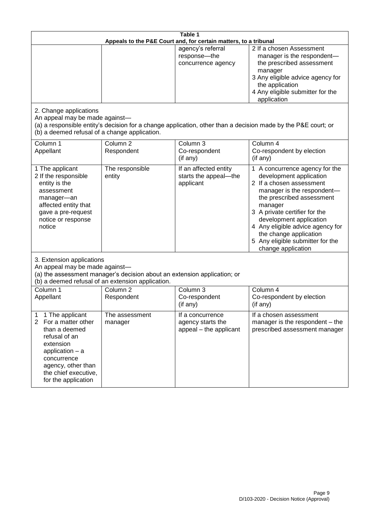| Table 1<br>Appeals to the P&E Court and, for certain matters, to a tribunal                                                                                                                                          |                                                                                                                               |                                                                 |                                                                                                                                                                                                                                                                                                                                                 |  |
|----------------------------------------------------------------------------------------------------------------------------------------------------------------------------------------------------------------------|-------------------------------------------------------------------------------------------------------------------------------|-----------------------------------------------------------------|-------------------------------------------------------------------------------------------------------------------------------------------------------------------------------------------------------------------------------------------------------------------------------------------------------------------------------------------------|--|
|                                                                                                                                                                                                                      |                                                                                                                               | agency's referral<br>response-the<br>concurrence agency         | 2 If a chosen Assessment<br>manager is the respondent-<br>the prescribed assessment<br>manager<br>3 Any eligible advice agency for<br>the application<br>4 Any eligible submitter for the<br>application                                                                                                                                        |  |
| 2. Change applications<br>An appeal may be made against-<br>(b) a deemed refusal of a change application.                                                                                                            |                                                                                                                               |                                                                 | (a) a responsible entity's decision for a change application, other than a decision made by the P&E court; or                                                                                                                                                                                                                                   |  |
| Column 1<br>Appellant                                                                                                                                                                                                | Column <sub>2</sub><br>Respondent                                                                                             | Column 3<br>Co-respondent<br>(if any)                           | Column 4<br>Co-respondent by election<br>(if any)                                                                                                                                                                                                                                                                                               |  |
| 1 The applicant<br>2 If the responsible<br>entity is the<br>assessment<br>manager-an<br>affected entity that<br>gave a pre-request<br>notice or response<br>notice                                                   | The responsible<br>entity                                                                                                     | If an affected entity<br>starts the appeal-the<br>applicant     | 1 A concurrence agency for the<br>development application<br>2 If a chosen assessment<br>manager is the respondent-<br>the prescribed assessment<br>manager<br>3 A private certifier for the<br>development application<br>4 Any eligible advice agency for<br>the change application<br>5 Any eligible submitter for the<br>change application |  |
| 3. Extension applications<br>An appeal may be made against-                                                                                                                                                          | (a) the assessment manager's decision about an extension application; or<br>(b) a deemed refusal of an extension application. |                                                                 |                                                                                                                                                                                                                                                                                                                                                 |  |
| Column 1<br>Appellant                                                                                                                                                                                                | Column <sub>2</sub><br>Respondent                                                                                             | Column 3<br>Co-respondent<br>(if any)                           | Column 4<br>Co-respondent by election<br>(if any)                                                                                                                                                                                                                                                                                               |  |
| 1 The applicant<br>1<br>$\overline{2}$<br>For a matter other<br>than a deemed<br>refusal of an<br>extension<br>application $-$ a<br>concurrence<br>agency, other than<br>the chief executive,<br>for the application | The assessment<br>manager                                                                                                     | If a concurrence<br>agency starts the<br>appeal - the applicant | If a chosen assessment<br>manager is the respondent – the<br>prescribed assessment manager                                                                                                                                                                                                                                                      |  |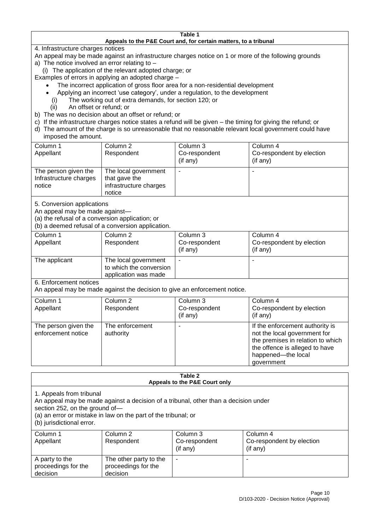#### **Table 1 Appeals to the P&E Court and, for certain matters, to a tribunal**

4. Infrastructure charges notices

- An appeal may be made against an infrastructure charges notice on 1 or more of the following grounds
- a) The notice involved an error relating to
	- (i) The application of the relevant adopted charge; or
- Examples of errors in applying an adopted charge
	- The incorrect application of gross floor area for a non-residential development
	- Applying an incorrect 'use category', under a regulation, to the development
	- (i) The working out of extra demands, for section 120; or
	- (ii) An offset or refund; or
- b) The was no decision about an offset or refund; or
- c) If the infrastructure charges notice states a refund will be given the timing for giving the refund; or
- d) The amount of the charge is so unreasonable that no reasonable relevant local government could have

# imposed the amount.

| Column 1<br>Appellant                                    | Column 2<br>Respondent                                                    | Column 3<br>Co-respondent<br>$($ if any $)$ | Column 4<br>Co-respondent by election<br>$($ if any $)$ |
|----------------------------------------------------------|---------------------------------------------------------------------------|---------------------------------------------|---------------------------------------------------------|
| The person given the<br>Infrastructure charges<br>notice | The local government<br>that gave the<br>infrastructure charges<br>notice |                                             |                                                         |

5. Conversion applications

An appeal may be made against—

(a) the refusal of a conversion application; or

(b) a deemed refusal of a conversion application.

| Column 1      | Column 2                | Column 3       | Column 4                  |
|---------------|-------------------------|----------------|---------------------------|
| Appellant     | Respondent              | Co-respondent  | Co-respondent by election |
|               |                         | $($ if any $)$ | $($ if any $)$            |
| The applicant | The local government    |                |                           |
|               | to which the conversion |                |                           |
|               | application was made    |                |                           |

6. Enforcement notices

An appeal may be made against the decision to give an enforcement notice.

| Column 1                                   | Column 2                     | Column 3      | Column 4                                                                                                                                                                   |
|--------------------------------------------|------------------------------|---------------|----------------------------------------------------------------------------------------------------------------------------------------------------------------------------|
| Appellant                                  | Respondent                   | Co-respondent | Co-respondent by election                                                                                                                                                  |
|                                            |                              | (if any)      | (if any)                                                                                                                                                                   |
| The person given the<br>enforcement notice | The enforcement<br>authority |               | If the enforcement authority is<br>not the local government for<br>the premises in relation to which<br>the offence is alleged to have<br>happened-the local<br>government |
|                                            |                              |               |                                                                                                                                                                            |

#### **Table 2 Appeals to the P&E Court only**

1. Appeals from tribunal

An appeal may be made against a decision of a tribunal, other than a decision under

section 252, on the ground of—

(a) an error or mistake in law on the part of the tribunal; or

(b) jurisdictional error.

| Column 1<br>Appellant                             | Column 2<br>Respondent                                    | Column 3<br>Co-respondent<br>(if any) | Column 4<br>Co-respondent by election<br>(if any) |
|---------------------------------------------------|-----------------------------------------------------------|---------------------------------------|---------------------------------------------------|
| A party to the<br>proceedings for the<br>decision | The other party to the<br>proceedings for the<br>decision | ٠                                     |                                                   |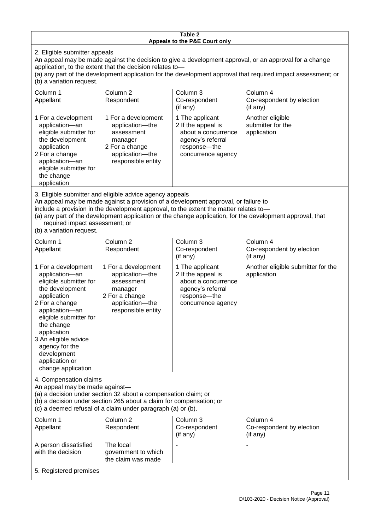#### **Table 2 Appeals to the P&E Court only**

2. Eligible submitter appeals

An appeal may be made against the decision to give a development approval, or an approval for a change application, to the extent that the decision relates to—

(a) any part of the development application for the development approval that required impact assessment; or (b) a variation request.

| Column 1<br>Appellant                                                                                                                                                                                                                                                                                                                                                                                              | Column <sub>2</sub><br>Respondent                                                                                          | Column 3<br>Co-respondent<br>(if any)                                                                                     | Column 4<br>Co-respondent by election<br>(i f an y)  |
|--------------------------------------------------------------------------------------------------------------------------------------------------------------------------------------------------------------------------------------------------------------------------------------------------------------------------------------------------------------------------------------------------------------------|----------------------------------------------------------------------------------------------------------------------------|---------------------------------------------------------------------------------------------------------------------------|------------------------------------------------------|
| 1 For a development<br>application-an<br>eligible submitter for<br>the development<br>application<br>2 For a change<br>application-an<br>eligible submitter for<br>the change<br>application                                                                                                                                                                                                                       | 1 For a development<br>application-the<br>assessment<br>manager<br>2 For a change<br>application-the<br>responsible entity | 1 The applicant<br>2 If the appeal is<br>about a concurrence<br>agency's referral<br>response---the<br>concurrence agency | Another eligible<br>submitter for the<br>application |
| 3. Eligible submitter and eligible advice agency appeals<br>An appeal may be made against a provision of a development approval, or failure to<br>include a provision in the development approval, to the extent the matter relates to-<br>(a) any part of the development application or the change application, for the development approval, that<br>required impact assessment; or<br>(b) a variation request. |                                                                                                                            |                                                                                                                           |                                                      |

| Column 1                                                                                                                                                                                                                                                                                      | Column <sub>2</sub>                                                                                                        | Column 3                                                                                                                  | Column 4                                          |  |
|-----------------------------------------------------------------------------------------------------------------------------------------------------------------------------------------------------------------------------------------------------------------------------------------------|----------------------------------------------------------------------------------------------------------------------------|---------------------------------------------------------------------------------------------------------------------------|---------------------------------------------------|--|
| Appellant                                                                                                                                                                                                                                                                                     | Respondent                                                                                                                 | Co-respondent                                                                                                             | Co-respondent by election                         |  |
|                                                                                                                                                                                                                                                                                               |                                                                                                                            | (if any)                                                                                                                  | (if any)                                          |  |
| 1 For a development<br>application-an<br>eligible submitter for<br>the development<br>application<br>2 For a change<br>application-an<br>eligible submitter for<br>the change<br>application<br>3 An eligible advice<br>agency for the<br>development<br>application or<br>change application | 1 For a development<br>application-the<br>assessment<br>manager<br>2 For a change<br>application-the<br>responsible entity | 1 The applicant<br>2 If the appeal is<br>about a concurrence<br>agency's referral<br>response---the<br>concurrence agency | Another eligible submitter for the<br>application |  |
| 4. Compensation claims<br>An appeal may be made against-<br>(a) a decision under section 32 about a compensation claim; or<br>(b) a decision under section 265 about a claim for compensation; or<br>(c) a deemed refusal of a claim under paragraph (a) or (b).                              |                                                                                                                            |                                                                                                                           |                                                   |  |
| Column 1                                                                                                                                                                                                                                                                                      | Column 2                                                                                                                   | Column 3                                                                                                                  | Column 4                                          |  |
| Appellant                                                                                                                                                                                                                                                                                     | Respondent                                                                                                                 | Co-respondent                                                                                                             | Co-respondent by election                         |  |
|                                                                                                                                                                                                                                                                                               |                                                                                                                            | (if any)                                                                                                                  | (if any)                                          |  |

| Appellant                                  | Respondent                                             | Co-respondent<br>$($ if any $)$ | Co-respondent by election<br>$($ if any $)$ |
|--------------------------------------------|--------------------------------------------------------|---------------------------------|---------------------------------------------|
| A person dissatisfied<br>with the decision | The local<br>government to which<br>the claim was made |                                 |                                             |
| 5. Registered premises                     |                                                        |                                 |                                             |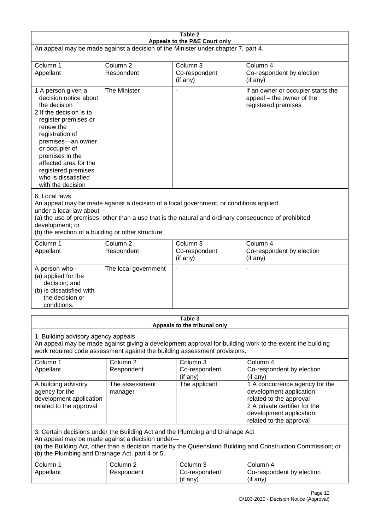| Table 2                                                                                                                                                                                                                                                                                                              |                                   |                                         |                                                                                                                                                                             |  |
|----------------------------------------------------------------------------------------------------------------------------------------------------------------------------------------------------------------------------------------------------------------------------------------------------------------------|-----------------------------------|-----------------------------------------|-----------------------------------------------------------------------------------------------------------------------------------------------------------------------------|--|
| Appeals to the P&E Court only<br>An appeal may be made against a decision of the Minister under chapter 7, part 4.                                                                                                                                                                                                   |                                   |                                         |                                                                                                                                                                             |  |
| Column 1<br>Appellant                                                                                                                                                                                                                                                                                                | Column <sub>2</sub><br>Respondent | Column 3<br>Co-respondent<br>(if any)   | Column 4<br>Co-respondent by election<br>(if any)                                                                                                                           |  |
| 1 A person given a<br>decision notice about<br>the decision<br>2 If the decision is to<br>register premises or<br>renew the<br>registration of<br>premises-an owner<br>or occupier of<br>premises in the<br>affected area for the<br>registered premises<br>who is dissatisfied<br>with the decision                 | The Minister                      | $\overline{\phantom{a}}$                | If an owner or occupier starts the<br>appeal – the owner of the<br>registered premises                                                                                      |  |
| 6. Local laws<br>An appeal may be made against a decision of a local government, or conditions applied,<br>under a local law about-<br>(a) the use of premises, other than a use that is the natural and ordinary consequence of prohibited<br>development; or<br>(b) the erection of a building or other structure. |                                   |                                         |                                                                                                                                                                             |  |
| Column 1<br>Appellant                                                                                                                                                                                                                                                                                                | Column <sub>2</sub><br>Respondent | Column 3<br>Co-respondent<br>(if any)   | Column 4<br>Co-respondent by election<br>(if any)                                                                                                                           |  |
| A person who-<br>(a) applied for the<br>decision; and<br>(b) is dissatisfied with<br>the decision or<br>conditions.                                                                                                                                                                                                  | The local government              | $\blacksquare$                          |                                                                                                                                                                             |  |
|                                                                                                                                                                                                                                                                                                                      |                                   | Table 3<br>Appeals to the tribunal only |                                                                                                                                                                             |  |
| 1. Building advisory agency appeals<br>An appeal may be made against giving a development approval for building work to the extent the building<br>work required code assessment against the building assessment provisions.                                                                                         |                                   |                                         |                                                                                                                                                                             |  |
| Column 1<br>Appellant                                                                                                                                                                                                                                                                                                | Column <sub>2</sub><br>Respondent | Column 3<br>Co-respondent<br>(if any)   | Column 4<br>Co-respondent by election<br>(if any)                                                                                                                           |  |
| A building advisory<br>agency for the<br>development application<br>related to the approval                                                                                                                                                                                                                          | The assessment<br>manager         | The applicant                           | 1 A concurrence agency for the<br>development application<br>related to the approval<br>2 A private certifier for the<br>development application<br>related to the approval |  |
| 3. Certain decisions under the Building Act and the Plumbing and Drainage Act<br>An appeal may be made against a decision under-<br>(a) the Building Act, other than a decision made by the Queensland Building and Construction Commission; or<br>(b) the Plumbing and Drainage Act, part 4 or 5.                   |                                   |                                         |                                                                                                                                                                             |  |
| Column 1<br>Appellant                                                                                                                                                                                                                                                                                                | Column <sub>2</sub><br>Respondent | Column 3<br>Co-respondent<br>(if any)   | Column 4<br>Co-respondent by election<br>(if any)                                                                                                                           |  |